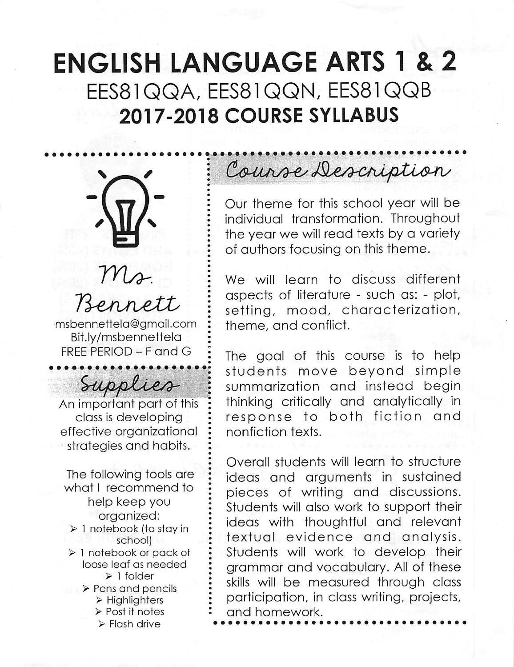## ENGLISH LANGUAGE ARTS 1 & 2 EES81QQA, EES81QQN, EES81QQB 2017-2018 COURSE SYLLABUS



Bennett msbennettela@gmail.com Bit.ly/msbennettela FREE PERIOD - F and G

rosy.

Supplies An important part of this class is developing effective organizational strategies and habits.

The following tools are what I recommend to help keep you organized: > 1 notebook (to stay in school) > 1 notebook or pack of loose leaf as needed > 1 folder > Pens and pencils > Highlighters > Post it notes > Flash drive

# Course Description

Our theme for this school year will be individual transformation. Throughout the year we will read texts by a variety of authors focusing on this theme.

We will learn to discuss different aspects of literature - such as: - plot, setting, mood, characterization, theme, and conflict.

The goal of this course is to help students move beyond simple summarization and instead begin thinking critically and analytically in response to both fiction and nonfiction texts.

Overall students will learn to structure ideas and arguments in sustained pieces of writing and discussions. Students will also work to support their ideas with thoughtful and relevant textual evidence and analysis. Students will work to develop their grammar and vocabulary. All of these skills will be measured through class participation, in class writing, projects, and homework.